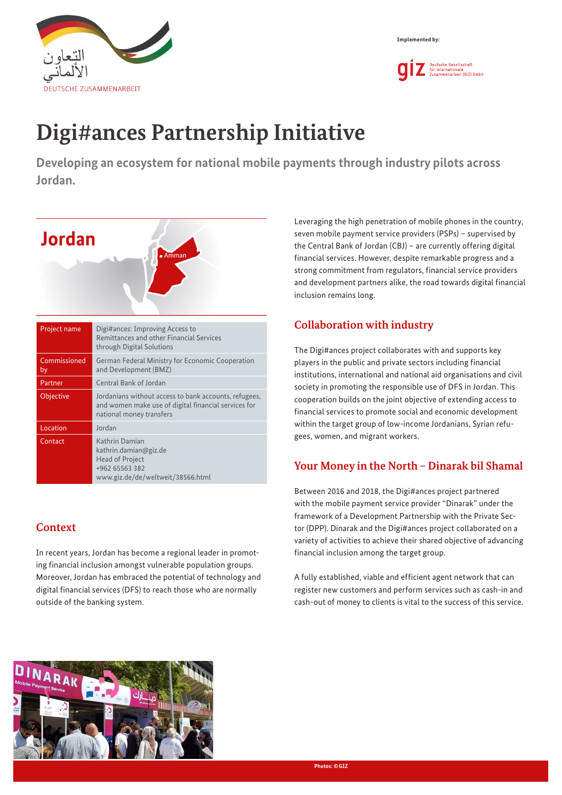



# **Digi#ances Partnership Initiative**

**Developing an ecosystem for national mobile payments through industry pilots across Jordan.**



| Project name       | Digi#dites. Iniproving Access to<br>Remittances and other Financial Services<br>through Digital Solutions                                 |
|--------------------|-------------------------------------------------------------------------------------------------------------------------------------------|
| Commissioned<br>by | German Federal Ministry for Economic Cooperation<br>and Development (BMZ)                                                                 |
| Partner            | Central Bank of Jordan                                                                                                                    |
| <b>Objective</b>   | Jordanians without access to bank accounts, refugees,<br>and women make use of digital financial services for<br>national money transfers |
| Location           | Jordan                                                                                                                                    |
| Contact            | Kathrin Damian<br>kathrin.damian@giz.de<br>Head of Project<br>+962 65563 382<br>www.giz.de/de/weltweit/38566.html                         |

#### **Context**

In recent years, Jordan has become a regional leader in promoting financial inclusion amongst vulnerable population groups. Moreover, Jordan has embraced the potential of technology and digital financial services (DFS) to reach those who are normally outside of the banking system.

Leveraging the high penetration of mobile phones in the country, seven mobile payment service providers (PSPs) – supervised by the Central Bank of Jordan (CBJ) – are currently offering digital financial services. However, despite remarkable progress and a strong commitment from regulators, financial service providers and development partners alike, the road towards digital financial inclusion remains long.

### **Collaboration with industry**

The Digi#ances project collaborates with and supports key players in the public and private sectors including financial institutions, international and national aid organisations and civil society in promoting the responsible use of DFS in Jordan. This cooperation builds on the joint objective of extending access to financial services to promote social and economic development within the target group of low-income Jordanians, Syrian refugees, women, and migrant workers.

#### **Your Money in the North – Dinarak bil Shamal**

Between 2016 and 2018, the Digi#ances project partnered with the mobile payment service provider "Dinarak" under the framework of a Development Partnership with the Private Sector (DPP). Dinarak and the Digi#ances project collaborated on a variety of activities to achieve their shared objective of advancing financial inclusion among the target group.

A fully established, viable and efficient agent network that can register new customers and perform services such as cash-in and cash-out of money to clients is vital to the success of this service.